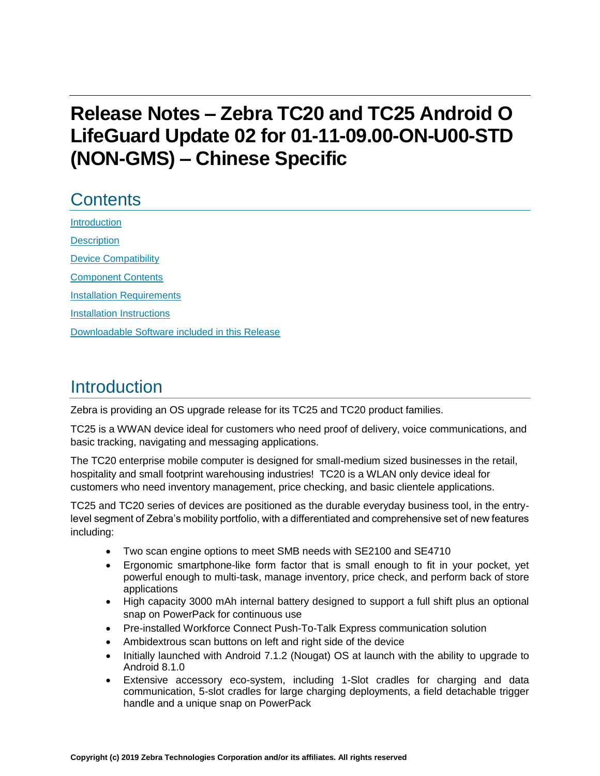# **Release Notes – Zebra TC20 and TC25 Android O LifeGuard Update 02 for 01-11-09.00-ON-U00-STD (NON-GMS) – Chinese Specific**

# **Contents**

[Introduction](#page-0-0) **[Description](#page-0-0)** [Device Compatibility](#page-1-0) [Component Contents](#page-2-0) [Installation Requirements](#page-3-0) [Installation Instructions](#page-4-0) [Downloadable Software included in this Release](#page-6-0) 

## <span id="page-0-0"></span>Introduction

Zebra is providing an OS upgrade release for its TC25 and TC20 product families.

TC25 is a WWAN device ideal for customers who need proof of delivery, voice communications, and basic tracking, navigating and messaging applications.

The TC20 enterprise mobile computer is designed for small-medium sized businesses in the retail, hospitality and small footprint warehousing industries! TC20 is a WLAN only device ideal for customers who need inventory management, price checking, and basic clientele applications.

TC25 and TC20 series of devices are positioned as the durable everyday business tool, in the entrylevel segment of Zebra's mobility portfolio, with a differentiated and comprehensive set of new features including:

- Two scan engine options to meet SMB needs with SE2100 and SE4710
- Ergonomic smartphone-like form factor that is small enough to fit in your pocket, yet powerful enough to multi-task, manage inventory, price check, and perform back of store applications
- High capacity 3000 mAh internal battery designed to support a full shift plus an optional snap on PowerPack for continuous use
- Pre-installed Workforce Connect Push-To-Talk Express communication solution
- Ambidextrous scan buttons on left and right side of the device
- Initially launched with Android 7.1.2 (Nougat) OS at launch with the ability to upgrade to Android 8.1.0
- Extensive accessory eco-system, including 1-Slot cradles for charging and data communication, 5-slot cradles for large charging deployments, a field detachable trigger handle and a unique snap on PowerPack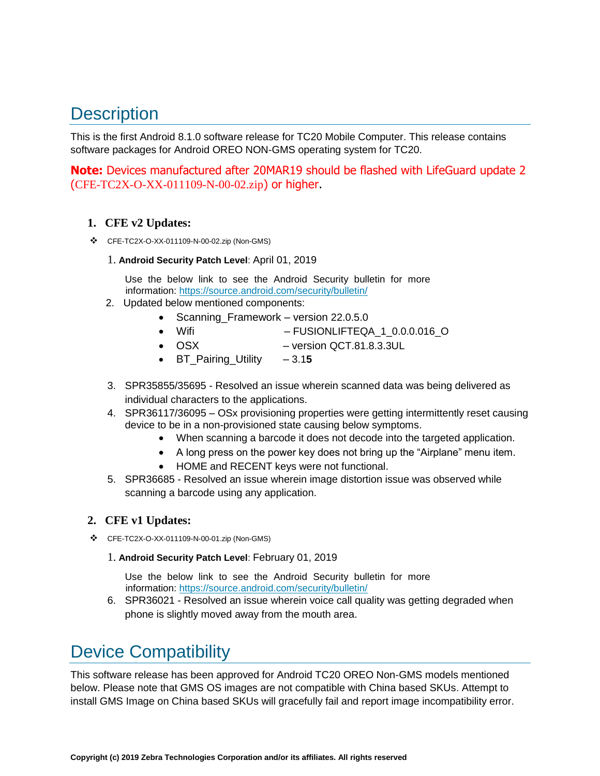# **Description**

This is the first Android 8.1.0 software release for TC20 Mobile Computer. This release contains software packages for Android OREO NON-GMS operating system for TC20.

**Note:** Devices manufactured after 20MAR19 should be flashed with LifeGuard update 2 (CFE-TC2X-O-XX-011109-N-00-02.zip) or higher.

### **1. CFE v2 Updates:**

- ❖ CFE-TC2X-O-XX-011109-N-00-02.zip (Non-GMS)
	- 1. **Android Security Patch Level**: April 01, 2019

Use the below link to see the Android Security bulletin for more information:<https://source.android.com/security/bulletin/>

- 2. Updated below mentioned components:
	- Scanning\_Framework version 22.0.5.0
	- Wifi FUSIONLIFTEQA\_1\_0.0.0.016\_O
	- OSX version QCT.81.8.3.3UL
	- BT Pairing Utility 3.15
- 3. SPR35855/35695 Resolved an issue wherein scanned data was being delivered as individual characters to the applications.
- 4. SPR36117/36095 OSx provisioning properties were getting intermittently reset causing device to be in a non-provisioned state causing below symptoms.
	- When scanning a barcode it does not decode into [the](https://confluence.zebra.com/pages/createpage.action?spaceKey=LIF&title=customer+apps+or+DWDEMO) targeted application.
	- A long press on the power key does not bring up the "Airplane" menu item.
	- HOME and RECENT keys were not functional.
- 5. SPR36685 Resolved an issue wherein image distortion issue was observed while scanning a barcode using any application.

#### **2. CFE v1 Updates:**

❖ CFE-TC2X-O-XX-011109-N-00-01.zip (Non-GMS)

1. **Android Security Patch Level**: February 01, 2019

Use the below link to see the Android Security bulletin for more information:<https://source.android.com/security/bulletin/>

6. SPR36021 - Resolved an issue wherein voice call quality was getting degraded when phone is slightly moved away from the mouth area.

## <span id="page-1-0"></span>Device Compatibility

This software release has been approved for Android TC20 OREO Non-GMS models mentioned below. Please note that GMS OS images are not compatible with China based SKUs. Attempt to install GMS Image on China based SKUs will gracefully fail and report image incompatibility error.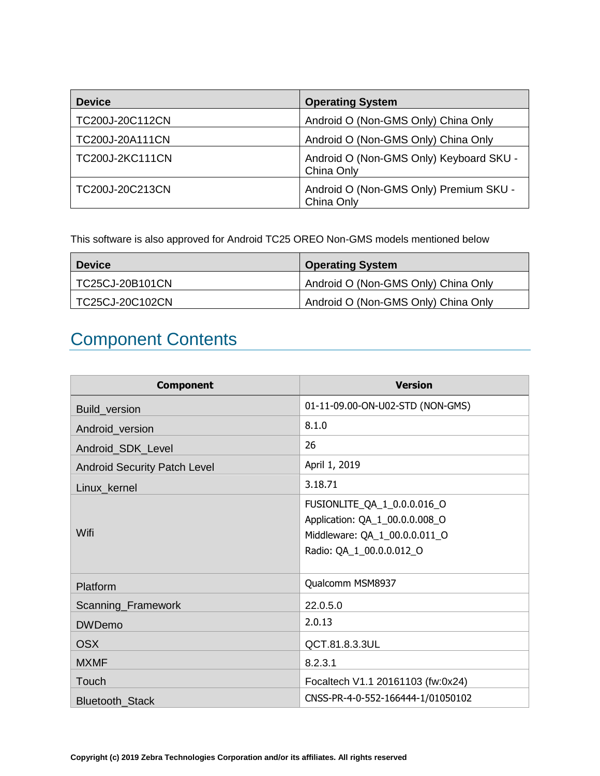| <b>Device</b>   | <b>Operating System</b>                               |
|-----------------|-------------------------------------------------------|
| TC200J-20C112CN | Android O (Non-GMS Only) China Only                   |
| TC200J-20A111CN | Android O (Non-GMS Only) China Only                   |
| TC200J-2KC111CN | Android O (Non-GMS Only) Keyboard SKU -<br>China Only |
| TC200J-20C213CN | Android O (Non-GMS Only) Premium SKU -<br>China Only  |

<span id="page-2-0"></span>This software is also approved for Android TC25 OREO Non-GMS models mentioned below

| <b>Device</b>          | <b>Operating System</b>             |
|------------------------|-------------------------------------|
| <b>TC25CJ-20B101CN</b> | Android O (Non-GMS Only) China Only |
| TC25CJ-20C102CN        | Android O (Non-GMS Only) China Only |

# Component Contents

| <b>Component</b>                    | <b>Version</b>                                                                                                             |
|-------------------------------------|----------------------------------------------------------------------------------------------------------------------------|
| Build_version                       | 01-11-09.00-ON-U02-STD (NON-GMS)                                                                                           |
| Android_version                     | 8.1.0                                                                                                                      |
| Android_SDK_Level                   | 26                                                                                                                         |
| <b>Android Security Patch Level</b> | April 1, 2019                                                                                                              |
| Linux_kernel                        | 3.18.71                                                                                                                    |
| Wifi                                | FUSIONLITE_QA_1_0.0.0.016_O<br>Application: QA_1_00.0.0.008_O<br>Middleware: QA_1_00.0.0.011_O<br>Radio: QA_1_00.0.0.012_O |
| Platform                            | Qualcomm MSM8937                                                                                                           |
| Scanning_Framework                  | 22.0.5.0                                                                                                                   |
| <b>DWDemo</b>                       | 2.0.13                                                                                                                     |
| <b>OSX</b>                          | QCT.81.8.3.3UL                                                                                                             |
| <b>MXMF</b>                         | 8.2.3.1                                                                                                                    |
| Touch                               | Focaltech V1.1 20161103 (fw:0x24)                                                                                          |
| <b>Bluetooth Stack</b>              | CNSS-PR-4-0-552-166444-1/01050102                                                                                          |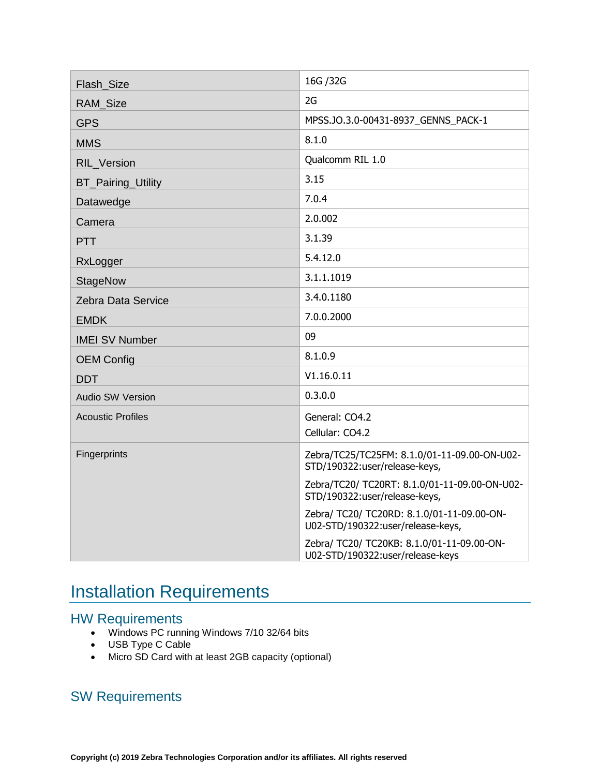| Flash Size                | 16G / 32G                                                                       |
|---------------------------|---------------------------------------------------------------------------------|
| <b>RAM Size</b>           | 2G                                                                              |
| <b>GPS</b>                | MPSS.JO.3.0-00431-8937 GENNS PACK-1                                             |
| <b>MMS</b>                | 8.1.0                                                                           |
| <b>RIL Version</b>        | Qualcomm RIL 1.0                                                                |
| <b>BT_Pairing_Utility</b> | 3.15                                                                            |
| Datawedge                 | 7.0.4                                                                           |
| Camera                    | 2.0.002                                                                         |
| <b>PTT</b>                | 3.1.39                                                                          |
| RxLogger                  | 5.4.12.0                                                                        |
| <b>StageNow</b>           | 3.1.1.1019                                                                      |
| Zebra Data Service        | 3.4.0.1180                                                                      |
| <b>EMDK</b>               | 7.0.0.2000                                                                      |
| <b>IMEI SV Number</b>     | 09                                                                              |
| <b>OEM Config</b>         | 8.1.0.9                                                                         |
| <b>DDT</b>                | V1.16.0.11                                                                      |
| Audio SW Version          | 0.3.0.0                                                                         |
| <b>Acoustic Profiles</b>  | General: CO4.2                                                                  |
|                           | Cellular: CO4.2                                                                 |
| Fingerprints              | Zebra/TC25/TC25FM: 8.1.0/01-11-09.00-ON-U02-<br>STD/190322:user/release-keys,   |
|                           | Zebra/TC20/ TC20RT: 8.1.0/01-11-09.00-ON-U02-<br>STD/190322:user/release-keys,  |
|                           | Zebra/ TC20/ TC20RD: 8.1.0/01-11-09.00-ON-<br>U02-STD/190322:user/release-keys, |
|                           | Zebra/ TC20/ TC20KB: 8.1.0/01-11-09.00-ON-<br>U02-STD/190322:user/release-keys  |

# <span id="page-3-0"></span>Installation Requirements

## HW Requirements

- Windows PC running Windows 7/10 32/64 bits
- USB Type C Cable
- Micro SD Card with at least 2GB capacity (optional)

## SW Requirements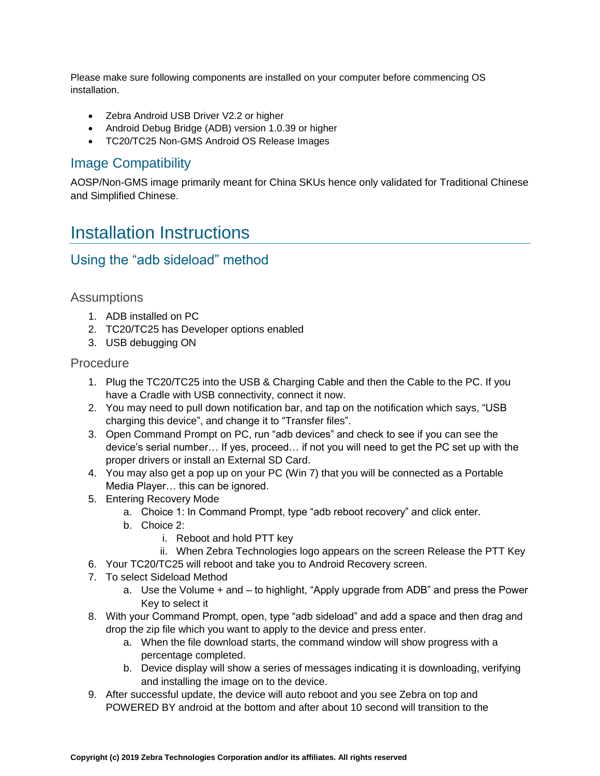Please make sure following components are installed on your computer before commencing OS installation.

- Zebra Android USB Driver V2.2 or higher
- Android Debug Bridge (ADB) version 1.0.39 or higher
- TC20/TC25 Non-GMS Android OS Release Images

### Image Compatibility

<span id="page-4-0"></span>AOSP/Non-GMS image primarily meant for China SKUs hence only validated for Traditional Chinese and Simplified Chinese.

## Installation Instructions

### Using the "adb sideload" method

#### **Assumptions**

- 1. ADB installed on PC
- 2. TC20/TC25 has Developer options enabled
- 3. USB debugging ON

#### **Procedure**

- 1. Plug the TC20/TC25 into the USB & Charging Cable and then the Cable to the PC. If you have a Cradle with USB connectivity, connect it now.
- 2. You may need to pull down notification bar, and tap on the notification which says, "USB charging this device", and change it to "Transfer files".
- 3. Open Command Prompt on PC, run "adb devices" and check to see if you can see the device's serial number… If yes, proceed… if not you will need to get the PC set up with the proper drivers or install an External SD Card.
- 4. You may also get a pop up on your PC (Win 7) that you will be connected as a Portable Media Player… this can be ignored.
- 5. Entering Recovery Mode
	- a. Choice 1: In Command Prompt, type "adb reboot recovery" and click enter.
	- b. Choice 2:
		- i. Reboot and hold PTT key
		- ii. When Zebra Technologies logo appears on the screen Release the PTT Key
- 6. Your TC20/TC25 will reboot and take you to Android Recovery screen.
- 7. To select Sideload Method
	- a. Use the Volume + and to highlight, "Apply upgrade from ADB" and press the Power Key to select it
- 8. With your Command Prompt, open, type "adb sideload" and add a space and then drag and drop the zip file which you want to apply to the device and press enter.
	- a. When the file download starts, the command window will show progress with a percentage completed.
	- b. Device display will show a series of messages indicating it is downloading, verifying and installing the image on to the device.
- 9. After successful update, the device will auto reboot and you see Zebra on top and POWERED BY android at the bottom and after about 10 second will transition to the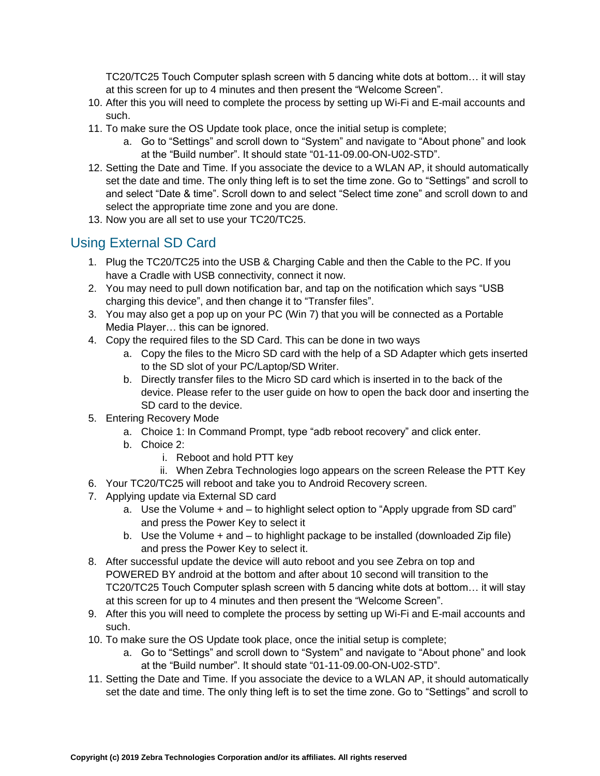TC20/TC25 Touch Computer splash screen with 5 dancing white dots at bottom… it will stay at this screen for up to 4 minutes and then present the "Welcome Screen".

- 10. After this you will need to complete the process by setting up Wi-Fi and E-mail accounts and such.
- 11. To make sure the OS Update took place, once the initial setup is complete;
	- a. Go to "Settings" and scroll down to "System" and navigate to "About phone" and look at the "Build number". It should state "01-11-09.00-ON-U02-STD".
- 12. Setting the Date and Time. If you associate the device to a WLAN AP, it should automatically set the date and time. The only thing left is to set the time zone. Go to "Settings" and scroll to and select "Date & time". Scroll down to and select "Select time zone" and scroll down to and select the appropriate time zone and you are done.
- 13. Now you are all set to use your TC20/TC25.

## Using External SD Card

- 1. Plug the TC20/TC25 into the USB & Charging Cable and then the Cable to the PC. If you have a Cradle with USB connectivity, connect it now.
- 2. You may need to pull down notification bar, and tap on the notification which says "USB charging this device", and then change it to "Transfer files".
- 3. You may also get a pop up on your PC (Win 7) that you will be connected as a Portable Media Player… this can be ignored.
- 4. Copy the required files to the SD Card. This can be done in two ways
	- a. Copy the files to the Micro SD card with the help of a SD Adapter which gets inserted to the SD slot of your PC/Laptop/SD Writer.
	- b. Directly transfer files to the Micro SD card which is inserted in to the back of the device. Please refer to the user guide on how to open the back door and inserting the SD card to the device.
- 5. Entering Recovery Mode
	- a. Choice 1: In Command Prompt, type "adb reboot recovery" and click enter.
	- b. Choice 2:
		- i. Reboot and hold PTT key
		- ii. When Zebra Technologies logo appears on the screen Release the PTT Key
- 6. Your TC20/TC25 will reboot and take you to Android Recovery screen.
- 7. Applying update via External SD card
	- a. Use the Volume + and to highlight select option to "Apply upgrade from SD card" and press the Power Key to select it
	- b. Use the Volume + and to highlight package to be installed (downloaded Zip file) and press the Power Key to select it.
- 8. After successful update the device will auto reboot and you see Zebra on top and POWERED BY android at the bottom and after about 10 second will transition to the TC20/TC25 Touch Computer splash screen with 5 dancing white dots at bottom… it will stay at this screen for up to 4 minutes and then present the "Welcome Screen".
- 9. After this you will need to complete the process by setting up Wi-Fi and E-mail accounts and such.
- 10. To make sure the OS Update took place, once the initial setup is complete;
	- a. Go to "Settings" and scroll down to "System" and navigate to "About phone" and look at the "Build number". It should state "01-11-09.00-ON-U02-STD".
- 11. Setting the Date and Time. If you associate the device to a WLAN AP, it should automatically set the date and time. The only thing left is to set the time zone. Go to "Settings" and scroll to